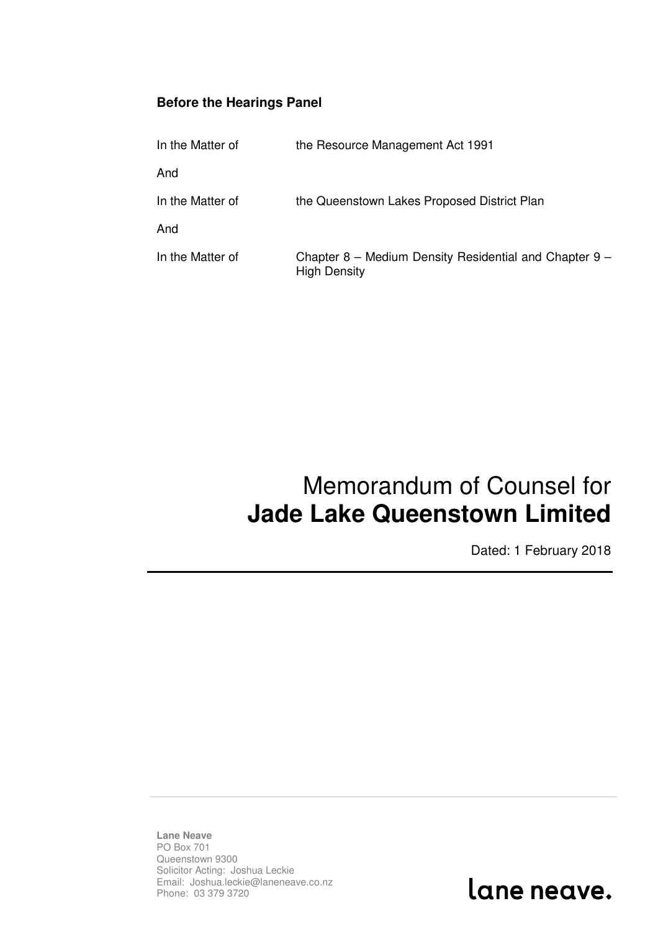## **Before the Hearings Panel**

| In the Matter of | the Resource Management Act 1991                                              |
|------------------|-------------------------------------------------------------------------------|
| And              |                                                                               |
| In the Matter of | the Queenstown Lakes Proposed District Plan                                   |
| And              |                                                                               |
| In the Matter of | Chapter 8 – Medium Density Residential and Chapter 9 –<br><b>High Density</b> |

## Memorandum of Counsel for **Jade Lake Queenstown Limited**

Dated: 1 February 2018

**Lane Neave** PO Box 701 Queenstown 9300 Solicitor Acting: Joshua Leckie Email: Joshua.leckie@laneneave.co.nz Phone: 03 379 3720

lane neave.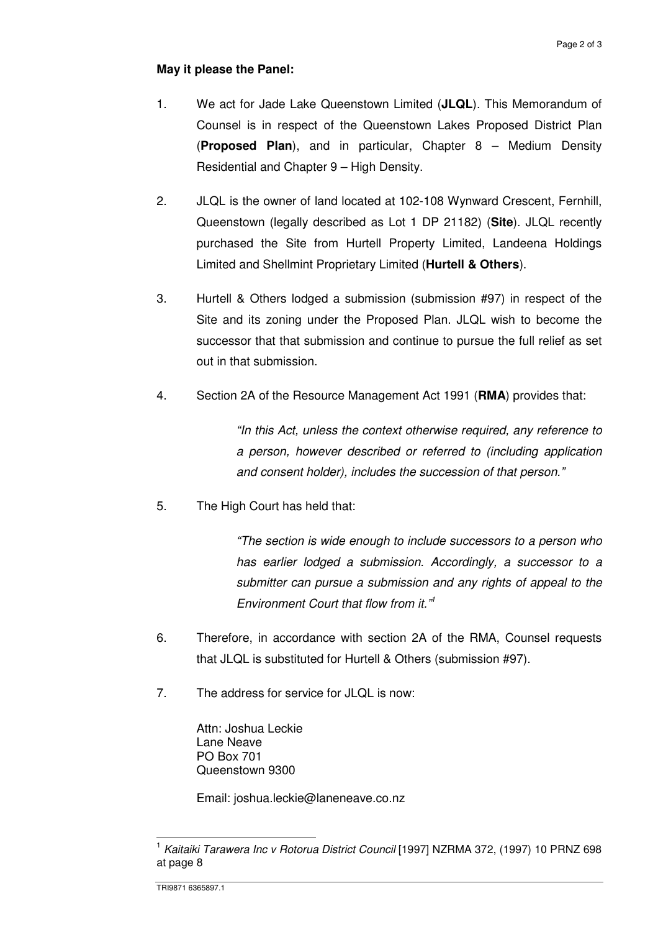## **May it please the Panel:**

- 1. We act for Jade Lake Queenstown Limited (**JLQL**). This Memorandum of Counsel is in respect of the Queenstown Lakes Proposed District Plan (**Proposed Plan**), and in particular, Chapter 8 – Medium Density Residential and Chapter 9 – High Density.
- 2. JLQL is the owner of land located at 102-108 Wynward Crescent, Fernhill, Queenstown (legally described as Lot 1 DP 21182) (**Site**). JLQL recently purchased the Site from Hurtell Property Limited, Landeena Holdings Limited and Shellmint Proprietary Limited (**Hurtell & Others**).
- 3. Hurtell & Others lodged a submission (submission #97) in respect of the Site and its zoning under the Proposed Plan. JLQL wish to become the successor that that submission and continue to pursue the full relief as set out in that submission.
- 4. Section 2A of the Resource Management Act 1991 (**RMA**) provides that:

"In this Act, unless the context otherwise required, any reference to a person, however described or referred to (including application and consent holder), includes the succession of that person."

5. The High Court has held that:

"The section is wide enough to include successors to a person who has earlier lodged a submission. Accordingly, a successor to a submitter can pursue a submission and any rights of appeal to the Environment Court that flow from it."<sup>1</sup>

- 6. Therefore, in accordance with section 2A of the RMA, Counsel requests that JLQL is substituted for Hurtell & Others (submission #97).
- 7. The address for service for JLQL is now:

Attn: Joshua Leckie Lane Neave PO Box 701 Queenstown 9300

Email: joshua.leckie@laneneave.co.nz

 $\overline{a}$ 

<sup>&</sup>lt;sup>1</sup> Kaitaiki Tarawera Inc v Rotorua District Council [1997] NZRMA 372, (1997) 10 PRNZ 698 at page 8